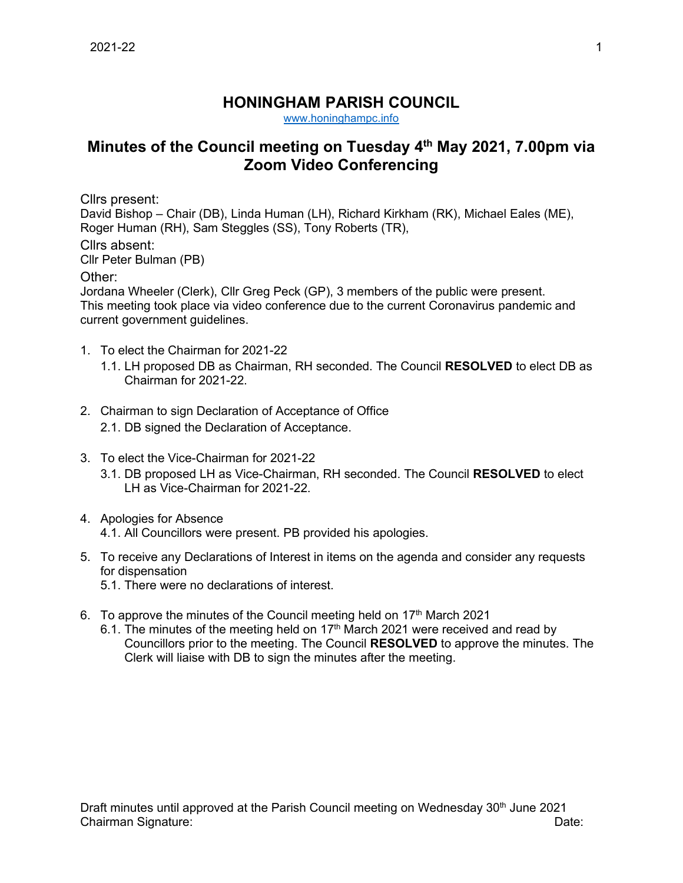## **HONINGHAM PARISH COUNCIL**

[www.honinghampc.info](http://www.honinghampc.info/)

## **Minutes of the Council meeting on Tuesday 4th May 2021, 7.00pm via Zoom Video Conferencing**

Cllrs present:

David Bishop – Chair (DB), Linda Human (LH), Richard Kirkham (RK), Michael Eales (ME), Roger Human (RH), Sam Steggles (SS), Tony Roberts (TR), Cllrs absent: Cllr Peter Bulman (PB)

Other:

Jordana Wheeler (Clerk), Cllr Greg Peck (GP), 3 members of the public were present. This meeting took place via video conference due to the current Coronavirus pandemic and current government guidelines.

- 1. To elect the Chairman for 2021-22
	- 1.1. LH proposed DB as Chairman, RH seconded. The Council **RESOLVED** to elect DB as Chairman for 2021-22.
- 2. Chairman to sign Declaration of Acceptance of Office 2.1. DB signed the Declaration of Acceptance.
- 3. To elect the Vice-Chairman for 2021-22
	- 3.1. DB proposed LH as Vice-Chairman, RH seconded. The Council **RESOLVED** to elect LH as Vice-Chairman for 2021-22.
- 4. Apologies for Absence 4.1. All Councillors were present. PB provided his apologies.
- 5. To receive any Declarations of Interest in items on the agenda and consider any requests for dispensation
	- 5.1. There were no declarations of interest.
- 6. To approve the minutes of the Council meeting held on  $17<sup>th</sup>$  March 2021
	- 6.1. The minutes of the meeting held on  $17<sup>th</sup>$  March 2021 were received and read by Councillors prior to the meeting. The Council **RESOLVED** to approve the minutes. The Clerk will liaise with DB to sign the minutes after the meeting.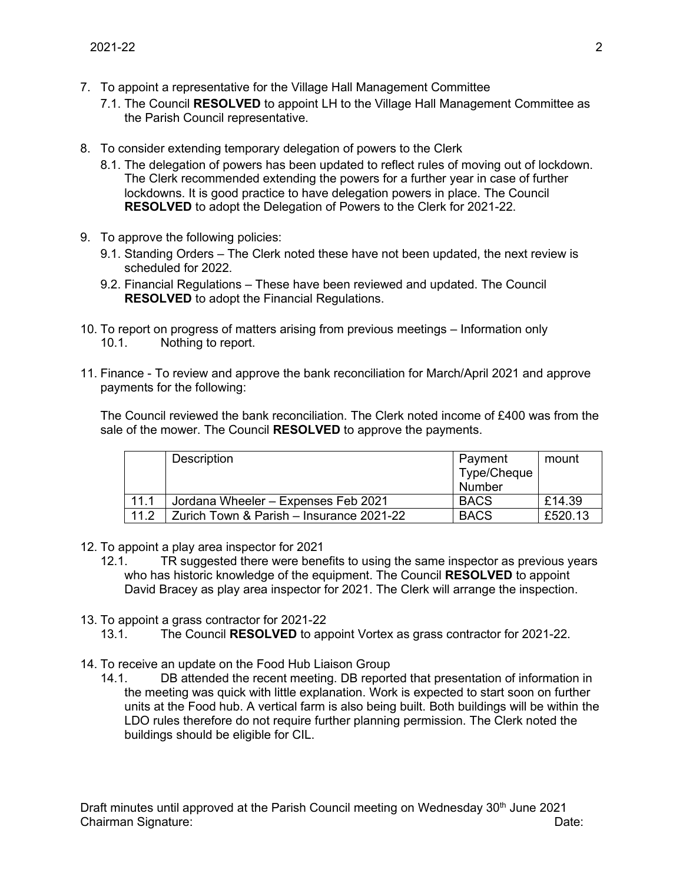- 7. To appoint a representative for the Village Hall Management Committee
	- 7.1. The Council **RESOLVED** to appoint LH to the Village Hall Management Committee as the Parish Council representative.
- 8. To consider extending temporary delegation of powers to the Clerk
	- 8.1. The delegation of powers has been updated to reflect rules of moving out of lockdown. The Clerk recommended extending the powers for a further year in case of further lockdowns. It is good practice to have delegation powers in place. The Council **RESOLVED** to adopt the Delegation of Powers to the Clerk for 2021-22.
- 9. To approve the following policies:
	- 9.1. Standing Orders The Clerk noted these have not been updated, the next review is scheduled for 2022.
	- 9.2. Financial Regulations These have been reviewed and updated. The Council **RESOLVED** to adopt the Financial Regulations.
- 10. To report on progress of matters arising from previous meetings Information only 10.1. Nothing to report.
- 11. Finance To review and approve the bank reconciliation for March/April 2021 and approve payments for the following:

The Council reviewed the bank reconciliation. The Clerk noted income of £400 was from the sale of the mower. The Council **RESOLVED** to approve the payments.

|      | Description                              | Payment<br>Type/Cheque<br>Number | mount   |
|------|------------------------------------------|----------------------------------|---------|
| 11.1 | Jordana Wheeler - Expenses Feb 2021      | <b>BACS</b>                      | £14.39  |
| 11.2 | Zurich Town & Parish – Insurance 2021-22 | <b>BACS</b>                      | £520.13 |

- 12. To appoint a play area inspector for 2021
	- 12.1. TR suggested there were benefits to using the same inspector as previous years who has historic knowledge of the equipment. The Council **RESOLVED** to appoint David Bracey as play area inspector for 2021. The Clerk will arrange the inspection.
- 13. To appoint a grass contractor for 2021-22
	- 13.1. The Council **RESOLVED** to appoint Vortex as grass contractor for 2021-22.
- 14. To receive an update on the Food Hub Liaison Group
	- 14.1. DB attended the recent meeting. DB reported that presentation of information in the meeting was quick with little explanation. Work is expected to start soon on further units at the Food hub. A vertical farm is also being built. Both buildings will be within the LDO rules therefore do not require further planning permission. The Clerk noted the buildings should be eligible for CIL.